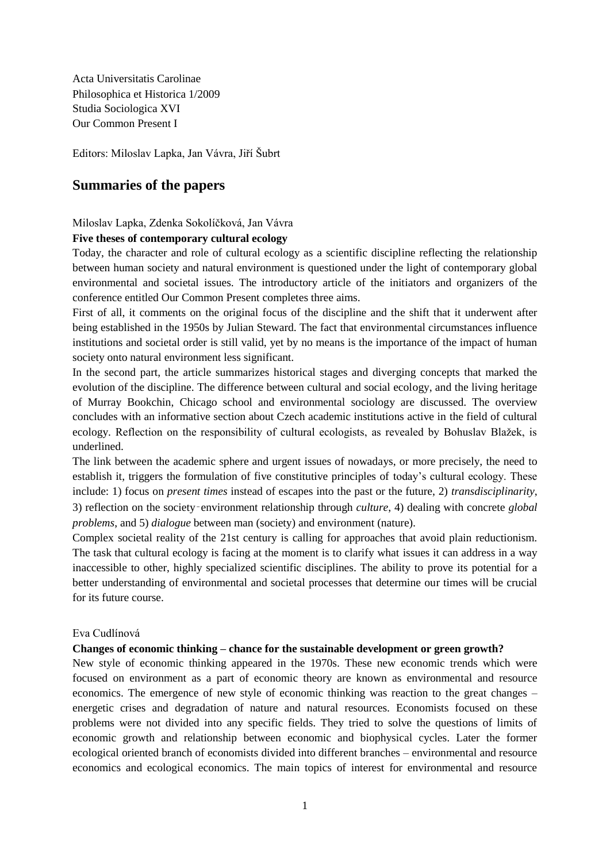Acta Universitatis Carolinae Philosophica et Historica 1/2009 Studia Sociologica XVI Our Common Present I

Editors: Miloslav Lapka, Jan Vávra, Jiří Šubrt

# **Summaries of the papers**

Miloslav Lapka, Zdenka Sokolíčková, Jan Vávra

# **Five theses of contemporary cultural ecology**

Today, the character and role of cultural ecology as a scientific discipline reflecting the relationship between human society and natural environment is questioned under the light of contemporary global environmental and societal issues. The introductory article of the initiators and organizers of the conference entitled Our Common Present completes three aims.

First of all, it comments on the original focus of the discipline and the shift that it underwent after being established in the 1950s by Julian Steward. The fact that environmental circumstances influence institutions and societal order is still valid, yet by no means is the importance of the impact of human society onto natural environment less significant.

In the second part, the article summarizes historical stages and diverging concepts that marked the evolution of the discipline. The difference between cultural and social ecology, and the living heritage of Murray Bookchin, Chicago school and environmental sociology are discussed. The overview concludes with an informative section about Czech academic institutions active in the field of cultural ecology. Reflection on the responsibility of cultural ecologists, as revealed by Bohuslav Blažek, is underlined.

The link between the academic sphere and urgent issues of nowadays, or more precisely, the need to establish it, triggers the formulation of five constitutive principles of today's cultural ecology. These include: 1) focus on *present times* instead of escapes into the past or the future, 2) *transdisciplinarity*, 3) reflection on the society‑environment relationship through *culture*, 4) dealing with concrete *global problems*, and 5) *dialogue* between man (society) and environment (nature).

Complex societal reality of the 21st century is calling for approaches that avoid plain reductionism. The task that cultural ecology is facing at the moment is to clarify what issues it can address in a way inaccessible to other, highly specialized scientific disciplines. The ability to prove its potential for a better understanding of environmental and societal processes that determine our times will be crucial for its future course.

# Eva Cudlínová

# **Changes of economic thinking – chance for the sustainable development or green growth?**

New style of economic thinking appeared in the 1970s. These new economic trends which were focused on environment as a part of economic theory are known as environmental and resource economics. The emergence of new style of economic thinking was reaction to the great changes – energetic crises and degradation of nature and natural resources. Economists focused on these problems were not divided into any specific fields. They tried to solve the questions of limits of economic growth and relationship between economic and biophysical cycles. Later the former ecological oriented branch of economists divided into different branches – environmental and resource economics and ecological economics. The main topics of interest for environmental and resource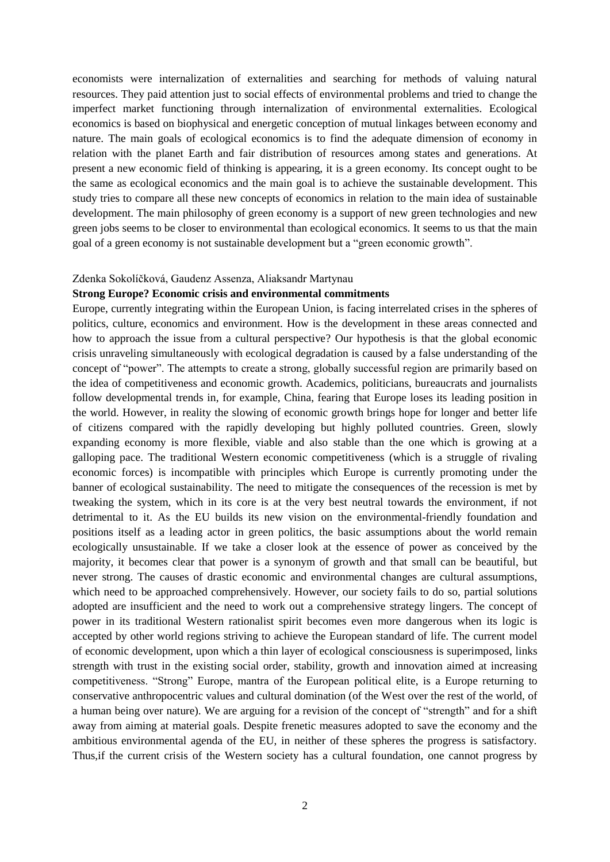economists were internalization of externalities and searching for methods of valuing natural resources. They paid attention just to social effects of environmental problems and tried to change the imperfect market functioning through internalization of environmental externalities. Ecological economics is based on biophysical and energetic conception of mutual linkages between economy and nature. The main goals of ecological economics is to find the adequate dimension of economy in relation with the planet Earth and fair distribution of resources among states and generations. At present a new economic field of thinking is appearing, it is a green economy. Its concept ought to be the same as ecological economics and the main goal is to achieve the sustainable development. This study tries to compare all these new concepts of economics in relation to the main idea of sustainable development. The main philosophy of green economy is a support of new green technologies and new green jobs seems to be closer to environmental than ecological economics. It seems to us that the main goal of a green economy is not sustainable development but a "green economic growth".

### Zdenka Sokolíčková, Gaudenz Assenza, Aliaksandr Martynau

## **Strong Europe? Economic crisis and environmental commitments**

Europe, currently integrating within the European Union, is facing interrelated crises in the spheres of politics, culture, economics and environment. How is the development in these areas connected and how to approach the issue from a cultural perspective? Our hypothesis is that the global economic crisis unraveling simultaneously with ecological degradation is caused by a false understanding of the concept of "power". The attempts to create a strong, globally successful region are primarily based on the idea of competitiveness and economic growth. Academics, politicians, bureaucrats and journalists follow developmental trends in, for example, China, fearing that Europe loses its leading position in the world. However, in reality the slowing of economic growth brings hope for longer and better life of citizens compared with the rapidly developing but highly polluted countries. Green, slowly expanding economy is more flexible, viable and also stable than the one which is growing at a galloping pace. The traditional Western economic competitiveness (which is a struggle of rivaling economic forces) is incompatible with principles which Europe is currently promoting under the banner of ecological sustainability. The need to mitigate the consequences of the recession is met by tweaking the system, which in its core is at the very best neutral towards the environment, if not detrimental to it. As the EU builds its new vision on the environmental-friendly foundation and positions itself as a leading actor in green politics, the basic assumptions about the world remain ecologically unsustainable. If we take a closer look at the essence of power as conceived by the majority, it becomes clear that power is a synonym of growth and that small can be beautiful, but never strong. The causes of drastic economic and environmental changes are cultural assumptions, which need to be approached comprehensively. However, our society fails to do so, partial solutions adopted are insufficient and the need to work out a comprehensive strategy lingers. The concept of power in its traditional Western rationalist spirit becomes even more dangerous when its logic is accepted by other world regions striving to achieve the European standard of life. The current model of economic development, upon which a thin layer of ecological consciousness is superimposed, links strength with trust in the existing social order, stability, growth and innovation aimed at increasing competitiveness. "Strong" Europe, mantra of the European political elite, is a Europe returning to conservative anthropocentric values and cultural domination (of the West over the rest of the world, of a human being over nature). We are arguing for a revision of the concept of "strength" and for a shift away from aiming at material goals. Despite frenetic measures adopted to save the economy and the ambitious environmental agenda of the EU, in neither of these spheres the progress is satisfactory. Thus,if the current crisis of the Western society has a cultural foundation, one cannot progress by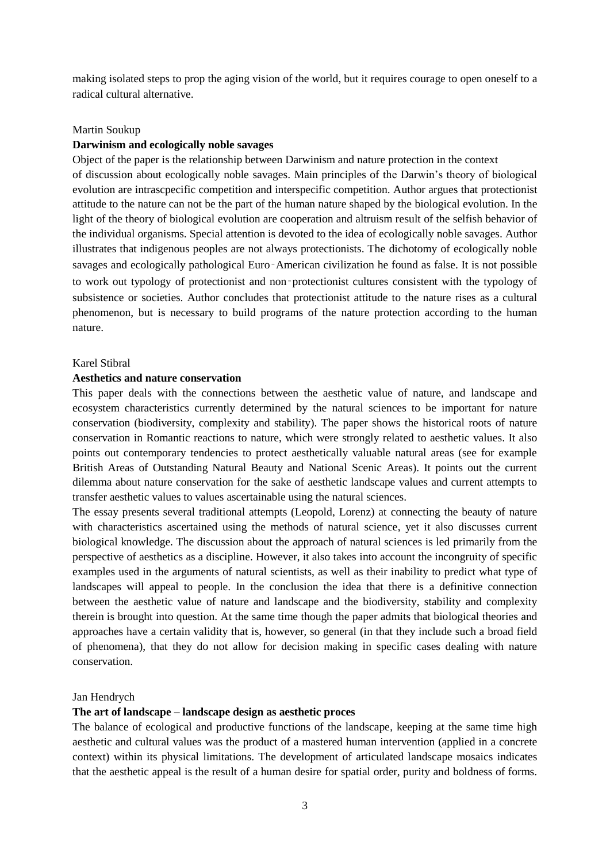making isolated steps to prop the aging vision of the world, but it requires courage to open oneself to a radical cultural alternative.

### Martin Soukup

# **Darwinism and ecologically noble savages**

Object of the paper is the relationship between Darwinism and nature protection in the context of discussion about ecologically noble savages. Main principles of the Darwin's theory of biological evolution are intrascpecific competition and interspecific competition. Author argues that protectionist attitude to the nature can not be the part of the human nature shaped by the biological evolution. In the light of the theory of biological evolution are cooperation and altruism result of the selfish behavior of the individual organisms. Special attention is devoted to the idea of ecologically noble savages. Author illustrates that indigenous peoples are not always protectionists. The dichotomy of ecologically noble savages and ecologically pathological Euro‑American civilization he found as false. It is not possible to work out typology of protectionist and non‑protectionist cultures consistent with the typology of subsistence or societies. Author concludes that protectionist attitude to the nature rises as a cultural phenomenon, but is necessary to build programs of the nature protection according to the human nature.

## Karel Stibral

# **Aesthetics and nature conservation**

This paper deals with the connections between the aesthetic value of nature, and landscape and ecosystem characteristics currently determined by the natural sciences to be important for nature conservation (biodiversity, complexity and stability). The paper shows the historical roots of nature conservation in Romantic reactions to nature, which were strongly related to aesthetic values. It also points out contemporary tendencies to protect aesthetically valuable natural areas (see for example British Areas of Outstanding Natural Beauty and National Scenic Areas). It points out the current dilemma about nature conservation for the sake of aesthetic landscape values and current attempts to transfer aesthetic values to values ascertainable using the natural sciences.

The essay presents several traditional attempts (Leopold, Lorenz) at connecting the beauty of nature with characteristics ascertained using the methods of natural science, yet it also discusses current biological knowledge. The discussion about the approach of natural sciences is led primarily from the perspective of aesthetics as a discipline. However, it also takes into account the incongruity of specific examples used in the arguments of natural scientists, as well as their inability to predict what type of landscapes will appeal to people. In the conclusion the idea that there is a definitive connection between the aesthetic value of nature and landscape and the biodiversity, stability and complexity therein is brought into question. At the same time though the paper admits that biological theories and approaches have a certain validity that is, however, so general (in that they include such a broad field of phenomena), that they do not allow for decision making in specific cases dealing with nature conservation.

#### Jan Hendrych

## **The art of landscape – landscape design as aesthetic proces**

The balance of ecological and productive functions of the landscape, keeping at the same time high aesthetic and cultural values was the product of a mastered human intervention (applied in a concrete context) within its physical limitations. The development of articulated landscape mosaics indicates that the aesthetic appeal is the result of a human desire for spatial order, purity and boldness of forms.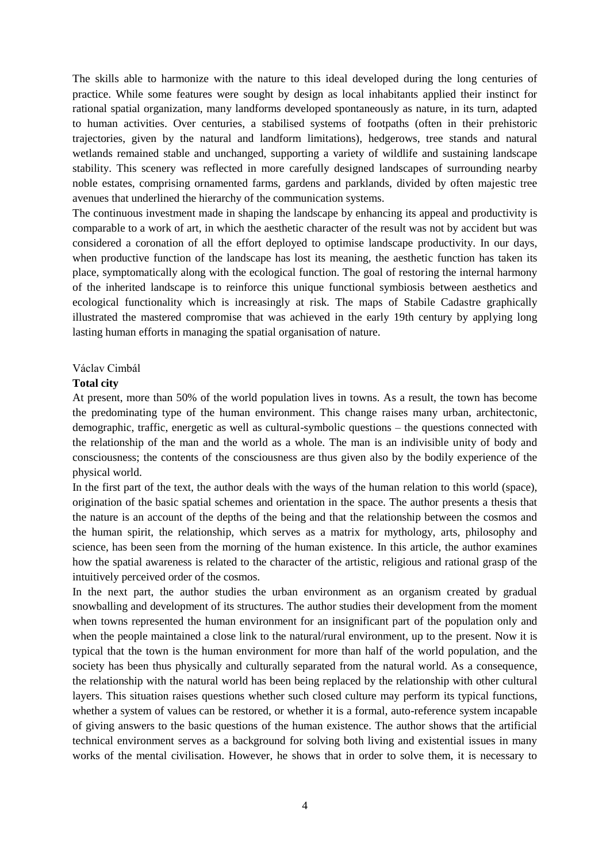The skills able to harmonize with the nature to this ideal developed during the long centuries of practice. While some features were sought by design as local inhabitants applied their instinct for rational spatial organization, many landforms developed spontaneously as nature, in its turn, adapted to human activities. Over centuries, a stabilised systems of footpaths (often in their prehistoric trajectories, given by the natural and landform limitations), hedgerows, tree stands and natural wetlands remained stable and unchanged, supporting a variety of wildlife and sustaining landscape stability. This scenery was reflected in more carefully designed landscapes of surrounding nearby noble estates, comprising ornamented farms, gardens and parklands, divided by often majestic tree avenues that underlined the hierarchy of the communication systems.

The continuous investment made in shaping the landscape by enhancing its appeal and productivity is comparable to a work of art, in which the aesthetic character of the result was not by accident but was considered a coronation of all the effort deployed to optimise landscape productivity. In our days, when productive function of the landscape has lost its meaning, the aesthetic function has taken its place, symptomatically along with the ecological function. The goal of restoring the internal harmony of the inherited landscape is to reinforce this unique functional symbiosis between aesthetics and ecological functionality which is increasingly at risk. The maps of Stabile Cadastre graphically illustrated the mastered compromise that was achieved in the early 19th century by applying long lasting human efforts in managing the spatial organisation of nature.

# Václav Cimbál

### **Total city**

At present, more than 50% of the world population lives in towns. As a result, the town has become the predominating type of the human environment. This change raises many urban, architectonic, demographic, traffic, energetic as well as cultural-symbolic questions – the questions connected with the relationship of the man and the world as a whole. The man is an indivisible unity of body and consciousness; the contents of the consciousness are thus given also by the bodily experience of the physical world.

In the first part of the text, the author deals with the ways of the human relation to this world (space), origination of the basic spatial schemes and orientation in the space. The author presents a thesis that the nature is an account of the depths of the being and that the relationship between the cosmos and the human spirit, the relationship, which serves as a matrix for mythology, arts, philosophy and science, has been seen from the morning of the human existence. In this article, the author examines how the spatial awareness is related to the character of the artistic, religious and rational grasp of the intuitively perceived order of the cosmos.

In the next part, the author studies the urban environment as an organism created by gradual snowballing and development of its structures. The author studies their development from the moment when towns represented the human environment for an insignificant part of the population only and when the people maintained a close link to the natural/rural environment, up to the present. Now it is typical that the town is the human environment for more than half of the world population, and the society has been thus physically and culturally separated from the natural world. As a consequence, the relationship with the natural world has been being replaced by the relationship with other cultural layers. This situation raises questions whether such closed culture may perform its typical functions, whether a system of values can be restored, or whether it is a formal, auto-reference system incapable of giving answers to the basic questions of the human existence. The author shows that the artificial technical environment serves as a background for solving both living and existential issues in many works of the mental civilisation. However, he shows that in order to solve them, it is necessary to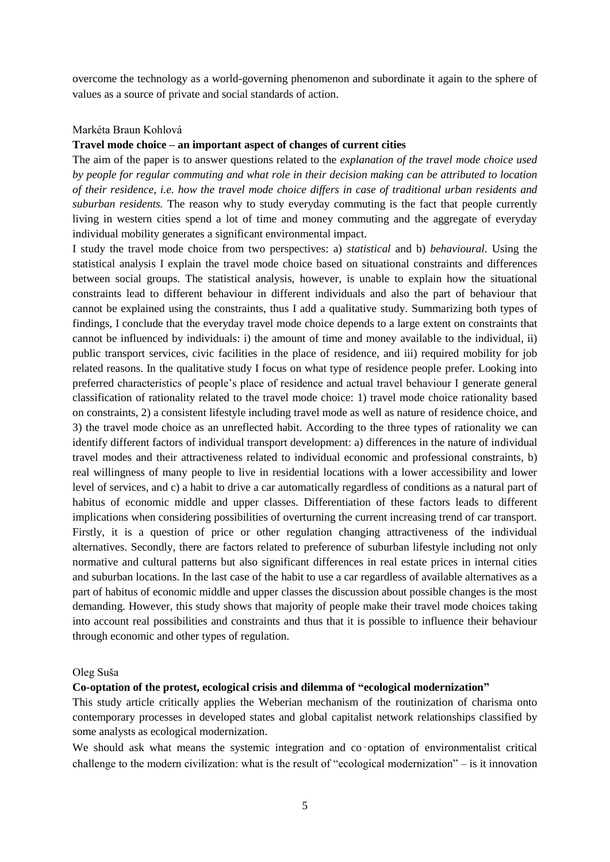overcome the technology as a world-governing phenomenon and subordinate it again to the sphere of values as a source of private and social standards of action.

# Markéta Braun Kohlová

# **Travel mode choice – an important aspect of changes of current cities**

The aim of the paper is to answer questions related to the *explanation of the travel mode choice used by people for regular commuting and what role in their decision making can be attributed to location of their residence, i.e. how the travel mode choice differs in case of traditional urban residents and suburban residents.* The reason why to study everyday commuting is the fact that people currently living in western cities spend a lot of time and money commuting and the aggregate of everyday individual mobility generates a significant environmental impact.

I study the travel mode choice from two perspectives: a) *statistical* and b) *behavioural*. Using the statistical analysis I explain the travel mode choice based on situational constraints and differences between social groups. The statistical analysis, however, is unable to explain how the situational constraints lead to different behaviour in different individuals and also the part of behaviour that cannot be explained using the constraints, thus I add a qualitative study. Summarizing both types of findings, I conclude that the everyday travel mode choice depends to a large extent on constraints that cannot be influenced by individuals: i) the amount of time and money available to the individual, ii) public transport services, civic facilities in the place of residence, and iii) required mobility for job related reasons. In the qualitative study I focus on what type of residence people prefer. Looking into preferred characteristics of people's place of residence and actual travel behaviour I generate general classification of rationality related to the travel mode choice: 1) travel mode choice rationality based on constraints, 2) a consistent lifestyle including travel mode as well as nature of residence choice, and 3) the travel mode choice as an unreflected habit. According to the three types of rationality we can identify different factors of individual transport development: a) differences in the nature of individual travel modes and their attractiveness related to individual economic and professional constraints, b) real willingness of many people to live in residential locations with a lower accessibility and lower level of services, and c) a habit to drive a car automatically regardless of conditions as a natural part of habitus of economic middle and upper classes. Differentiation of these factors leads to different implications when considering possibilities of overturning the current increasing trend of car transport. Firstly, it is a question of price or other regulation changing attractiveness of the individual alternatives. Secondly, there are factors related to preference of suburban lifestyle including not only normative and cultural patterns but also significant differences in real estate prices in internal cities and suburban locations. In the last case of the habit to use a car regardless of available alternatives as a part of habitus of economic middle and upper classes the discussion about possible changes is the most demanding. However, this study shows that majority of people make their travel mode choices taking into account real possibilities and constraints and thus that it is possible to influence their behaviour through economic and other types of regulation.

#### Oleg Suša

### **Co-optation of the protest, ecological crisis and dilemma of "ecological modernization"**

This study article critically applies the Weberian mechanism of the routinization of charisma onto contemporary processes in developed states and global capitalist network relationships classified by some analysts as ecological modernization.

We should ask what means the systemic integration and co–optation of environmentalist critical challenge to the modern civilization: what is the result of "ecological modernization" – is it innovation